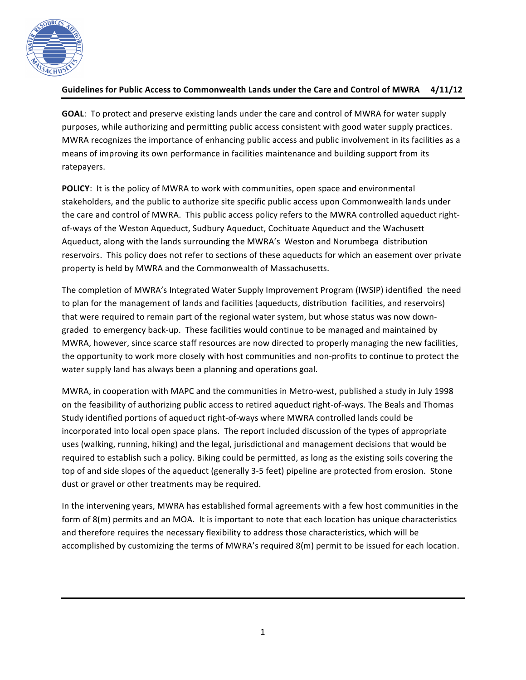

# Guidelines for Public Access to Commonwealth Lands under the Care and Control of MWRA 4/11/12

**GOAL:** To protect and preserve existing lands under the care and control of MWRA for water supply purposes, while authorizing and permitting public access consistent with good water supply practices. MWRA recognizes the importance of enhancing public access and public involvement in its facilities as a means of improving its own performance in facilities maintenance and building support from its ratepayers.

**POLICY**: It is the policy of MWRA to work with communities, open space and environmental stakeholders, and the public to authorize site specific public access upon Commonwealth lands under the care and control of MWRA. This public access policy refers to the MWRA controlled aqueduct rightof-ways of the Weston Aqueduct, Sudbury Aqueduct, Cochituate Aqueduct and the Wachusett Aqueduct, along with the lands surrounding the MWRA's Weston and Norumbega distribution reservoirs. This policy does not refer to sections of these aqueducts for which an easement over private property is held by MWRA and the Commonwealth of Massachusetts.

The completion of MWRA's Integrated Water Supply Improvement Program (IWSIP) identified the need to plan for the management of lands and facilities (aqueducts, distribution facilities, and reservoirs) that were required to remain part of the regional water system, but whose status was now downgraded to emergency back-up. These facilities would continue to be managed and maintained by MWRA, however, since scarce staff resources are now directed to properly managing the new facilities, the opportunity to work more closely with host communities and non-profits to continue to protect the water supply land has always been a planning and operations goal.

MWRA, in cooperation with MAPC and the communities in Metro-west, published a study in July 1998 on the feasibility of authorizing public access to retired aqueduct right-of-ways. The Beals and Thomas Study identified portions of aqueduct right-of-ways where MWRA controlled lands could be incorporated into local open space plans. The report included discussion of the types of appropriate uses (walking, running, hiking) and the legal, jurisdictional and management decisions that would be required to establish such a policy. Biking could be permitted, as long as the existing soils covering the top of and side slopes of the aqueduct (generally 3-5 feet) pipeline are protected from erosion. Stone dust or gravel or other treatments may be required.

In the intervening years, MWRA has established formal agreements with a few host communities in the form of  $8(m)$  permits and an MOA. It is important to note that each location has unique characteristics and therefore requires the necessary flexibility to address those characteristics, which will be accomplished by customizing the terms of MWRA's required 8(m) permit to be issued for each location.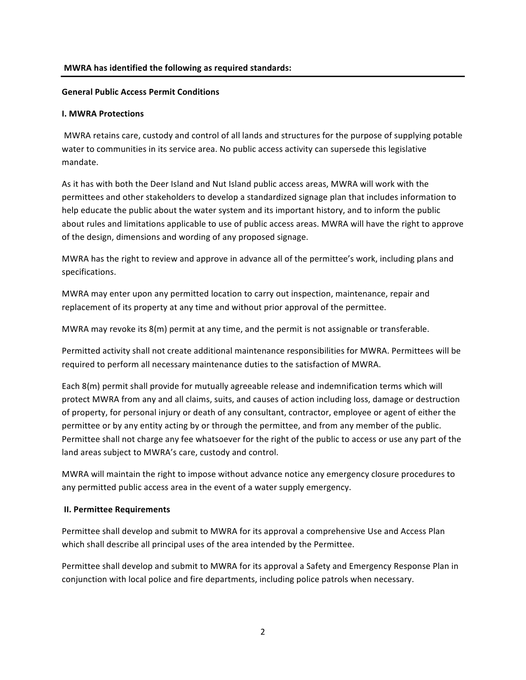#### **MWRA** has identified the following as required standards:

### **General Public Access Permit Conditions**

### **I. MWRA Protections**

MWRA retains care, custody and control of all lands and structures for the purpose of supplying potable water to communities in its service area. No public access activity can supersede this legislative mandate.

As it has with both the Deer Island and Nut Island public access areas, MWRA will work with the permittees and other stakeholders to develop a standardized signage plan that includes information to help educate the public about the water system and its important history, and to inform the public about rules and limitations applicable to use of public access areas. MWRA will have the right to approve of the design, dimensions and wording of any proposed signage.

MWRA has the right to review and approve in advance all of the permittee's work, including plans and specifications.

MWRA may enter upon any permitted location to carry out inspection, maintenance, repair and replacement of its property at any time and without prior approval of the permittee.

MWRA may revoke its  $8(m)$  permit at any time, and the permit is not assignable or transferable.

Permitted activity shall not create additional maintenance responsibilities for MWRA. Permittees will be required to perform all necessary maintenance duties to the satisfaction of MWRA.

Each 8(m) permit shall provide for mutually agreeable release and indemnification terms which will protect MWRA from any and all claims, suits, and causes of action including loss, damage or destruction of property, for personal injury or death of any consultant, contractor, employee or agent of either the permittee or by any entity acting by or through the permittee, and from any member of the public. Permittee shall not charge any fee whatsoever for the right of the public to access or use any part of the land areas subject to MWRA's care, custody and control.

MWRA will maintain the right to impose without advance notice any emergency closure procedures to any permitted public access area in the event of a water supply emergency.

## **II. Permittee Requirements**

Permittee shall develop and submit to MWRA for its approval a comprehensive Use and Access Plan which shall describe all principal uses of the area intended by the Permittee.

Permittee shall develop and submit to MWRA for its approval a Safety and Emergency Response Plan in conjunction with local police and fire departments, including police patrols when necessary.